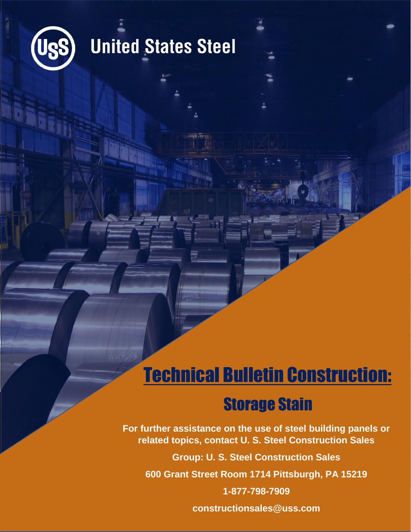

## **United States Steel**

## Technical Bulletin Construction:

## Storage Stain

**For further assistance on the use of steel building panels or related topics, contact U. S. Steel Construction Sales**

**Group: U. S. Steel Construction Sales**

**600 Grant Street Room 1714 Pittsburgh, PA 15219**

**1-877-798-7909**

**constructionsales@uss.com**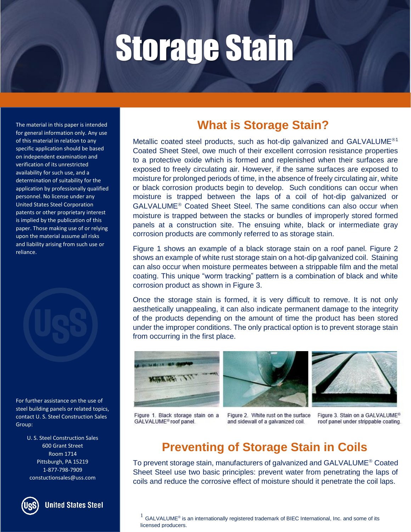The material in this paper is intended for general information only. Any use of this material in relation to any specific application should be based on independent examination and verification of its unrestricted availability for such use, and a determination of suitability for the application by professionally qualified personnel. No license under any United States Steel Corporation patents or other proprietary interest is implied by the publication of this paper. Those making use of or relying upon the material assume all risks and liability arising from such use or reliance.



For further assistance on the use of steel building panels or related topics, contact U. S. Steel Construction Sales Group:

> U. S. Steel Construction Sales 600 Grant Street Room 1714 Pittsburgh, PA 15219 1-877-798-7909 constuctionsales@uss.com



**United States Steel** 

### **What is Storage Stain?**

Metallic coated steel products, such as hot-dip galvanized and GALVALUME<sup>®1</sup> Coated Sheet Steel, owe much of their excellent corrosion resistance properties to a protective oxide which is formed and replenished when their surfaces are exposed to freely circulating air. However, if the same surfaces are exposed to moisture for prolonged periods of time, in the absence of freely circulating air, white or black corrosion products begin to develop. Such conditions can occur when moisture is trapped between the laps of a coil of hot-dip galvanized or GALVALUME<sup>®</sup> Coated Sheet Steel. The same conditions can also occur when moisture is trapped between the stacks or bundles of improperly stored formed panels at a construction site. The ensuing white, black or intermediate gray corrosion products are commonly referred to as storage stain.

Figure 1 shows an example of a black storage stain on a roof panel. Figure 2 shows an example of white rust storage stain on a hot-dip galvanized coil. Staining can also occur when moisture permeates between a strippable film and the metal coating. This unique "worm tracking" pattern is a combination of black and white corrosion product as shown in Figure 3.

Once the storage stain is formed, it is very difficult to remove. It is not only aesthetically unappealing, it can also indicate permanent damage to the integrity of the products depending on the amount of time the product has been stored under the improper conditions. The only practical option is to prevent storage stain from occurring in the first place.







Figure 1. Black storage stain on a GALVALUME<sup>®</sup> roof panel.

Figure 2. White rust on the surface and sidewall of a galvanized coil.

Figure 3. Stain on a GALVALUME® roof panel under strippable coating.

### **Preventing of Storage Stain in Coils**

To prevent storage stain, manufacturers of galvanized and GALVALUME<sup>®</sup> Coated Sheet Steel use two basic principles: prevent water from penetrating the laps of coils and reduce the corrosive effect of moisture should it penetrate the coil laps.

 $^{1}$  GALVALUME® is an internationally registered trademark of BIEC International, Inc. and some of its licensed producers.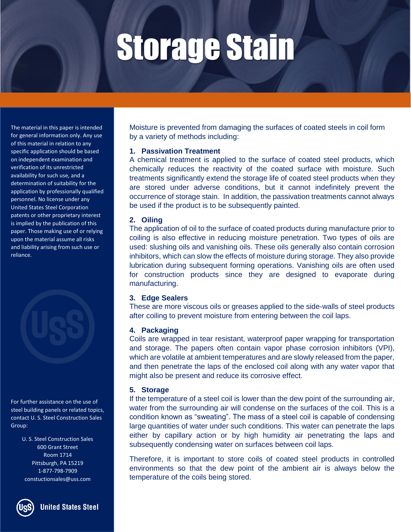The material in this paper is intended for general information only. Any use of this material in relation to any specific application should be based on independent examination and verification of its unrestricted availability for such use, and a determination of suitability for the application by professionally qualified personnel. No license under any United States Steel Corporation patents or other proprietary interest is implied by the publication of this paper. Those making use of or relying upon the material assume all risks and liability arising from such use or reliance.

For further assistance on the use of steel building panels or related topics, contact U. S. Steel Construction Sales Group:

> U. S. Steel Construction Sales 600 Grant Street Room 1714 Pittsburgh, PA 15219 1-877-798-7909 constuctionsales@uss.com



**United States Steel** 

Moisture is prevented from damaging the surfaces of coated steels in coil form by a variety of methods including:

#### **1. Passivation Treatment**

A chemical treatment is applied to the surface of coated steel products, which chemically reduces the reactivity of the coated surface with moisture. Such treatments significantly extend the storage life of coated steel products when they are stored under adverse conditions, but it cannot indefinitely prevent the occurrence of storage stain. In addition, the passivation treatments cannot always be used if the product is to be subsequently painted.

#### **2. Oiling**

The application of oil to the surface of coated products during manufacture prior to coiling is also effective in reducing moisture penetration. Two types of oils are used: slushing oils and vanishing oils. These oils generally also contain corrosion inhibitors, which can slow the effects of moisture during storage. They also provide lubrication during subsequent forming operations. Vanishing oils are often used for construction products since they are designed to evaporate during manufacturing.

#### **3. Edge Sealers**

These are more viscous oils or greases applied to the side-walls of steel products after coiling to prevent moisture from entering between the coil laps.

#### **4. Packaging**

Coils are wrapped in tear resistant, waterproof paper wrapping for transportation and storage. The papers often contain vapor phase corrosion inhibitors (VPI), which are volatile at ambient temperatures and are slowly released from the paper, and then penetrate the laps of the enclosed coil along with any water vapor that might also be present and reduce its corrosive effect.

#### **5. Storage**

If the temperature of a steel coil is lower than the dew point of the surrounding air, water from the surrounding air will condense on the surfaces of the coil. This is a condition known as "sweating". The mass of a steel coil is capable of condensing large quantities of water under such conditions. This water can penetrate the laps either by capillary action or by high humidity air penetrating the laps and subsequently condensing water on surfaces between coil laps.

Therefore, it is important to store coils of coated steel products in controlled environments so that the dew point of the ambient air is always below the temperature of the coils being stored.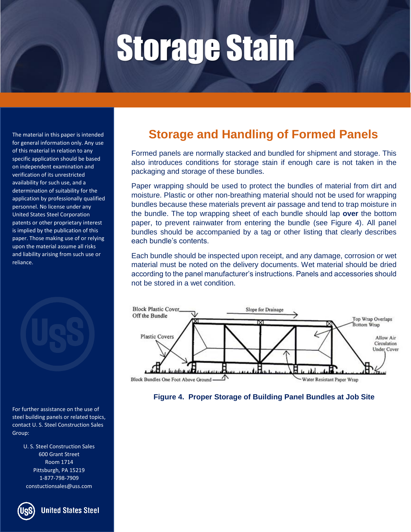The material in this paper is intended for general information only. Any use of this material in relation to any specific application should be based on independent examination and verification of its unrestricted availability for such use, and a determination of suitability for the application by professionally qualified personnel. No license under any United States Steel Corporation patents or other proprietary interest is implied by the publication of this paper. Those making use of or relying upon the material assume all risks and liability arising from such use or reliance.



For further assistance on the use of steel building panels or related topics, contact U. S. Steel Construction Sales Group:

> U. S. Steel Construction Sales 600 Grant Street Room 1714 Pittsburgh, PA 15219 1-877-798-7909 constuctionsales@uss.com



**United States Steel** 

### **Storage and Handling of Formed Panels**

Formed panels are normally stacked and bundled for shipment and storage. This also introduces conditions for storage stain if enough care is not taken in the packaging and storage of these bundles.

Paper wrapping should be used to protect the bundles of material from dirt and moisture. Plastic or other non-breathing material should not be used for wrapping bundles because these materials prevent air passage and tend to trap moisture in the bundle. The top wrapping sheet of each bundle should lap **over** the bottom paper, to prevent rainwater from entering the bundle (see Figure 4). All panel bundles should be accompanied by a tag or other listing that clearly describes each bundle's contents.

Each bundle should be inspected upon receipt, and any damage, corrosion or wet material must be noted on the delivery documents. Wet material should be dried according to the panel manufacturer's instructions. Panels and accessories should not be stored in a wet condition.



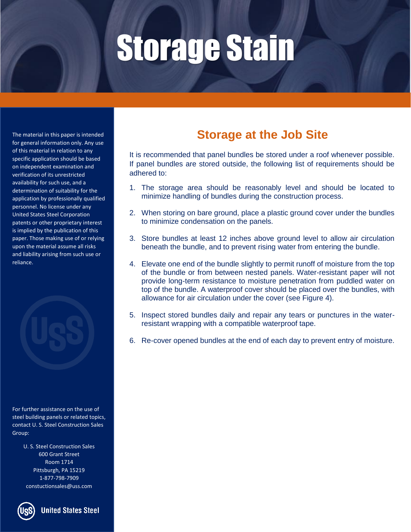The material in this paper is intended for general information only. Any use of this material in relation to any specific application should be based on independent examination and verification of its unrestricted availability for such use, and a determination of suitability for the application by professionally qualified personnel. No license under any United States Steel Corporation patents or other proprietary interest is implied by the publication of this paper. Those making use of or relying upon the material assume all risks and liability arising from such use or reliance.

For further assistance on the use of steel building panels or related topics, contact U. S. Steel Construction Sales Group:

> U. S. Steel Construction Sales 600 Grant Street Room 1714 Pittsburgh, PA 15219 1-877-798-7909 constuctionsales@uss.com



**United States Steel** 

### **Storage at the Job Site**

It is recommended that panel bundles be stored under a roof whenever possible. If panel bundles are stored outside, the following list of requirements should be adhered to:

- 1. The storage area should be reasonably level and should be located to minimize handling of bundles during the construction process.
- 2. When storing on bare ground, place a plastic ground cover under the bundles to minimize condensation on the panels.
- 3. Store bundles at least 12 inches above ground level to allow air circulation beneath the bundle, and to prevent rising water from entering the bundle.
- 4. Elevate one end of the bundle slightly to permit runoff of moisture from the top of the bundle or from between nested panels. Water-resistant paper will not provide long-term resistance to moisture penetration from puddled water on top of the bundle. A waterproof cover should be placed over the bundles, with allowance for air circulation under the cover (see Figure 4).
- 5. Inspect stored bundles daily and repair any tears or punctures in the waterresistant wrapping with a compatible waterproof tape.
- 6. Re-cover opened bundles at the end of each day to prevent entry of moisture.